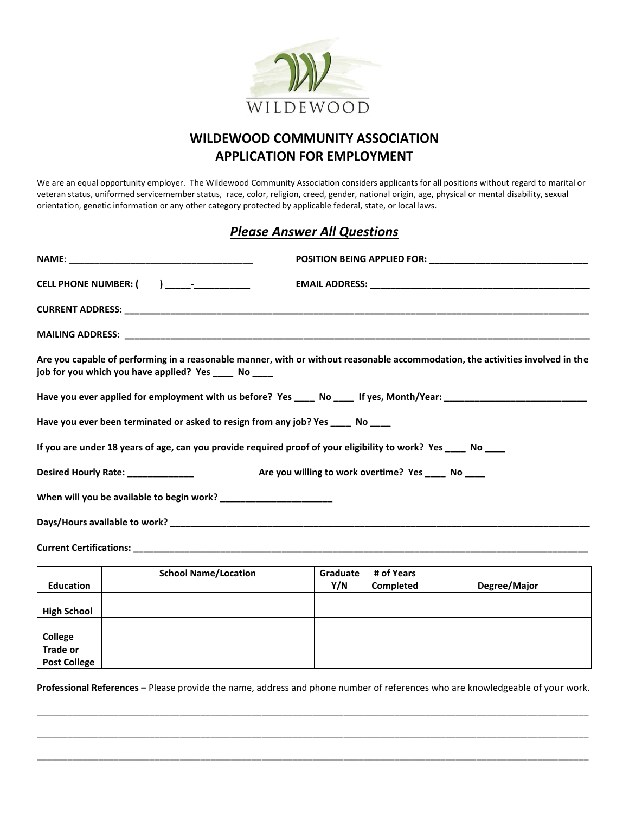

## **WILDEWOOD COMMUNITY ASSOCIATION APPLICATION FOR EMPLOYMENT**

We are an equal opportunity employer. The Wildewood Community Association considers applicants for all positions without regard to marital or veteran status, uniformed servicemember status, race, color, religion, creed, gender, national origin, age, physical or mental disability, sexual orientation, genetic information or any other category protected by applicable federal, state, or local laws.

## *Please Answer All Questions*

|  | CELL PHONE NUMBER: () ____________________                                                                                                                                              |  |                                                     |  |  |
|--|-----------------------------------------------------------------------------------------------------------------------------------------------------------------------------------------|--|-----------------------------------------------------|--|--|
|  |                                                                                                                                                                                         |  |                                                     |  |  |
|  |                                                                                                                                                                                         |  |                                                     |  |  |
|  | Are you capable of performing in a reasonable manner, with or without reasonable accommodation, the activities involved in the<br>job for you which you have applied? Yes _____ No ____ |  |                                                     |  |  |
|  |                                                                                                                                                                                         |  |                                                     |  |  |
|  | Have you ever been terminated or asked to resign from any job? Yes _____ No ____                                                                                                        |  |                                                     |  |  |
|  | If you are under 18 years of age, can you provide required proof of your eligibility to work? Yes ____ No ____                                                                          |  |                                                     |  |  |
|  | Desired Hourly Rate: _______________                                                                                                                                                    |  | Are you willing to work overtime? Yes _____ No ____ |  |  |
|  |                                                                                                                                                                                         |  |                                                     |  |  |
|  |                                                                                                                                                                                         |  |                                                     |  |  |
|  |                                                                                                                                                                                         |  |                                                     |  |  |
|  | $\sqrt{a^2 + b^2}$ $\sqrt{a^2 + b^2}$ $\sqrt{a^2 + b^2}$ $\sqrt{a^2 + b^2}$ $\sqrt{a^2 + b^2}$ $\sqrt{a^2 + b^2}$ $\sqrt{a^2 + b^2}$ $\sqrt{a^2 + b^2}$                                 |  |                                                     |  |  |

|                     | <b>School Name/Location</b> | Graduate | # of Years |              |
|---------------------|-----------------------------|----------|------------|--------------|
| <b>Education</b>    |                             | Y/N      | Completed  | Degree/Major |
|                     |                             |          |            |              |
| <b>High School</b>  |                             |          |            |              |
|                     |                             |          |            |              |
| College             |                             |          |            |              |
| <b>Trade or</b>     |                             |          |            |              |
| <b>Post College</b> |                             |          |            |              |

**Professional References –** Please provide the name, address and phone number of references who are knowledgeable of your work.

\_\_\_\_\_\_\_\_\_\_\_\_\_\_\_\_\_\_\_\_\_\_\_\_\_\_\_\_\_\_\_\_\_\_\_\_\_\_\_\_\_\_\_\_\_\_\_\_\_\_\_\_\_\_\_\_\_\_\_\_\_\_\_\_\_\_\_\_\_\_\_\_\_\_\_\_\_\_\_\_\_\_\_\_\_\_\_\_\_\_\_\_\_\_\_\_\_\_\_\_\_\_\_\_\_\_\_\_

\_\_\_\_\_\_\_\_\_\_\_\_\_\_\_\_\_\_\_\_\_\_\_\_\_\_\_\_\_\_\_\_\_\_\_\_\_\_\_\_\_\_\_\_\_\_\_\_\_\_\_\_\_\_\_\_\_\_\_\_\_\_\_\_\_\_\_\_\_\_\_\_\_\_\_\_\_\_\_\_\_\_\_\_\_\_\_\_\_\_\_\_\_\_\_\_\_\_\_\_\_\_\_\_\_\_\_\_

**\_\_\_\_\_\_\_\_\_\_\_\_\_\_\_\_\_\_\_\_\_\_\_\_\_\_\_\_\_\_\_\_\_\_\_\_\_\_\_\_\_\_\_\_\_\_\_\_\_\_\_\_\_\_\_\_\_\_\_\_\_\_\_\_\_\_\_\_\_\_\_\_\_\_\_\_\_\_\_\_\_\_\_\_\_\_\_\_\_\_\_\_\_\_\_\_\_\_\_\_\_\_\_\_\_\_\_\_**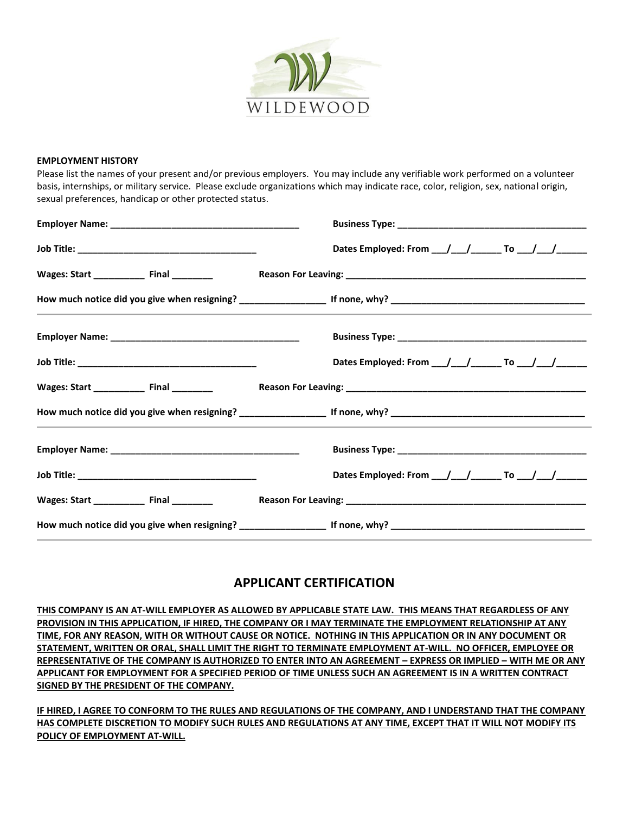

## **EMPLOYMENT HISTORY**

Please list the names of your present and/or previous employers. You may include any verifiable work performed on a volunteer basis, internships, or military service. Please exclude organizations which may indicate race, color, religion, sex, national origin, sexual preferences, handicap or other protected status.

|                                               | Dates Employed: From ___/ ___/ _______ To ___/ ___/ ______                                                      |
|-----------------------------------------------|-----------------------------------------------------------------------------------------------------------------|
| Wages: Start _______________ Final __________ |                                                                                                                 |
|                                               | the contract of the contract of the contract of the contract of the contract of the contract of the contract of |
|                                               |                                                                                                                 |
|                                               | Dates Employed: From __/__/_______ To __/__/_____                                                               |
| Wages: Start _______________ Final __________ |                                                                                                                 |
|                                               |                                                                                                                 |
|                                               |                                                                                                                 |
|                                               | Dates Employed: From $\_\_\_\_\_\_\_\_\_\$ To $\_\_\_\_\_\_\_\_\_\_\_\_\_\_\_\_\_\_\_\_\_\_\_$                  |
| Wages: Start _____________ Final _________    |                                                                                                                 |
|                                               |                                                                                                                 |

## **APPLICANT CERTIFICATION**

**THIS COMPANY IS AN AT-WILL EMPLOYER AS ALLOWED BY APPLICABLE STATE LAW. THIS MEANS THAT REGARDLESS OF ANY PROVISION IN THIS APPLICATION, IF HIRED, THE COMPANY OR I MAY TERMINATE THE EMPLOYMENT RELATIONSHIP AT ANY TIME, FOR ANY REASON, WITH OR WITHOUT CAUSE OR NOTICE. NOTHING IN THIS APPLICATION OR IN ANY DOCUMENT OR STATEMENT, WRITTEN OR ORAL, SHALL LIMIT THE RIGHT TO TERMINATE EMPLOYMENT AT-WILL. NO OFFICER, EMPLOYEE OR REPRESENTATIVE OF THE COMPANY IS AUTHORIZED TO ENTER INTO AN AGREEMENT – EXPRESS OR IMPLIED – WITH ME OR ANY APPLICANT FOR EMPLOYMENT FOR A SPECIFIED PERIOD OF TIME UNLESS SUCH AN AGREEMENT IS IN A WRITTEN CONTRACT SIGNED BY THE PRESIDENT OF THE COMPANY.**

**IF HIRED, I AGREE TO CONFORM TO THE RULES AND REGULATIONS OF THE COMPANY, AND I UNDERSTAND THAT THE COMPANY HAS COMPLETE DISCRETION TO MODIFY SUCH RULES AND REGULATIONS AT ANY TIME, EXCEPT THAT IT WILL NOT MODIFY ITS POLICY OF EMPLOYMENT AT-WILL.**